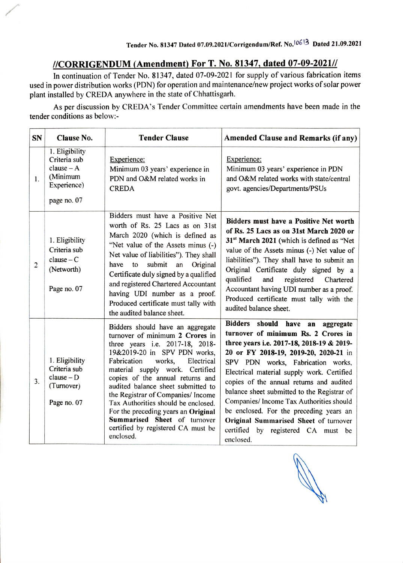## //CORRIGENDUM (Amendment) For T. No. 81347, dated 07-09-2021//

In continuation of Tender No. 81347, dated 07-09-2021 for supply of various fabrication items used in power distribution works (PDN) for operation and maintenance/new project works of solar power plant installed by CREDA anywhere in the state of Chhattisgarh.

As per discussion by CREDA's Tender Committee certain amendments have been made in the tender conditions as below:

| <b>SN</b>      | Clause No.                                                                               | <b>Tender Clause</b>                                                                                                                                                                                                                                                                                                                                                                                                                                                                              | <b>Amended Clause and Remarks (if any)</b>                                                                                                                                                                                                                                                                                                                                                                                                                                                                                                     |
|----------------|------------------------------------------------------------------------------------------|---------------------------------------------------------------------------------------------------------------------------------------------------------------------------------------------------------------------------------------------------------------------------------------------------------------------------------------------------------------------------------------------------------------------------------------------------------------------------------------------------|------------------------------------------------------------------------------------------------------------------------------------------------------------------------------------------------------------------------------------------------------------------------------------------------------------------------------------------------------------------------------------------------------------------------------------------------------------------------------------------------------------------------------------------------|
| 1.             | 1. Eligibility<br>Criteria sub<br>$clause - A$<br>(Minimum<br>Experience)<br>page no. 07 | Experience:<br>Minimum 03 years' experience in<br>PDN and O&M related works in<br><b>CREDA</b>                                                                                                                                                                                                                                                                                                                                                                                                    | Experience:<br>Minimum 03 years' experience in PDN<br>and O&M related works with state/central<br>govt. agencies/Departments/PSUs                                                                                                                                                                                                                                                                                                                                                                                                              |
| $\overline{2}$ | 1. Eligibility<br>Criteria sub<br>$clause - C$<br>(Networth)<br>Page no. 07              | Bidders must have a Positive Net<br>worth of Rs. 25 Lacs as on 31st<br>March 2020 (which is defined as<br>"Net value of the Assets minus (-)<br>Net value of liabilities"). They shall<br>submit<br>an<br>Original<br>have to<br>Certificate duly signed by a qualified<br>and registered Chartered Accountant<br>having UDI number as a proof.<br>Produced certificate must tally with<br>the audited balance sheet.                                                                             | Bidders must have a Positive Net worth<br>of Rs. 25 Lacs as on 31st March 2020 or<br>31 <sup>st</sup> March 2021 (which is defined as "Net<br>value of the Assets minus (-) Net value of<br>liabilities"). They shall have to submit an<br>Original Certificate duly signed by a<br>qualified<br>registered<br>and<br>Chartered<br>Accountant having UDI number as a proof.<br>Produced certificate must tally with the<br>audited balance sheet.                                                                                              |
| 3.             | 1. Eligibility<br>Criteria sub<br>$clause - D$<br>(Turnover)<br>Page no. 07              | Bidders should have an aggregate<br>turnover of minimum 2 Crores in<br>three years i.e. 2017-18, 2018-<br>19&2019-20 in SPV PDN works,<br>Fabrication<br>works,<br>Electrical<br>material supply work. Certified<br>copies of the annual returns and<br>audited balance sheet submitted to<br>the Registrar of Companies/ Income<br>Tax Authorities should be enclosed.<br>For the preceding years an Original<br>Summarised Sheet of turnover<br>certified by registered CA must be<br>enclosed. | <b>Bidders</b><br>should<br>have an<br>aggregate<br>turnover of minimum Rs. 2 Crores in<br>three years i.e. 2017-18, 2018-19 & 2019-<br>20 or FY 2018-19, 2019-20, 2020-21 in<br>SPV PDN works, Fabrication works,<br>Electrical material supply work. Certified<br>copies of the annual returns and audited<br>balance sheet submitted to the Registrar of<br>Companies/ Income Tax Authorities should<br>be enclosed. For the preceding years an<br>Original Summarised Sheet of turnover<br>certified by registered CA must be<br>enclosed. |

A March 1999